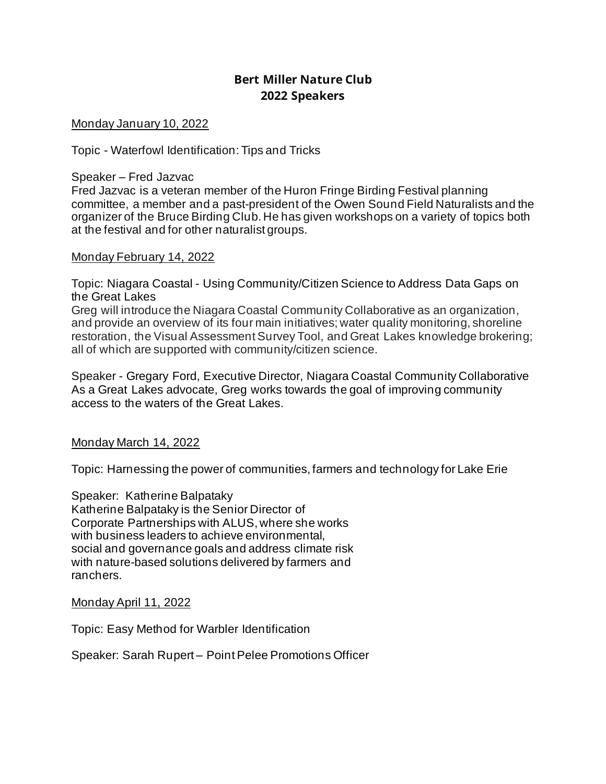# **Bert Miller Nature Club 2022 Speakers**

Monday January 10, 2022

Topic - Waterfowl Identification: Tips and Tricks

Speaker – Fred Jazvac

Fred Jazvac is a veteran member of the Huron Fringe Birding Festival planning committee, a member and a past-president of the Owen Sound Field Naturalists and the organizer of the Bruce Birding Club. He has given workshops on a variety of topics both at the festival and for other naturalist groups.

#### Monday February 14, 2022

Topic: Niagara Coastal - Using Community/Citizen Science to Address Data Gaps on the Great Lakes

Greg will introduce the Niagara Coastal Community Collaborative as an organization, and provide an overview of its four main initiatives; water quality monitoring, shoreline restoration, the Visual Assessment Survey Tool, and Great Lakes knowledge brokering; all of which are supported with community/citizen science.

Speaker - Gregary Ford, Executive Director, Niagara Coastal Community Collaborative As a Great Lakes advocate, Greg works towards the goal of improving community access to the waters of the Great Lakes.

### Monday March 14, 2022

Topic: Harnessing the power of communities, farmers and technology for Lake Erie

Speaker: Katherine Balpataky Katherine Balpataky is the Senior Director of Corporate Partnerships with ALUS, where she works with business leaders to achieve environmental, social and governance goals and address climate risk with nature-based solutions delivered by farmers and ranchers.

Monday April 11, 2022

Topic: Easy Method for Warbler Identification

Speaker: Sarah Rupert – Point Pelee Promotions Officer